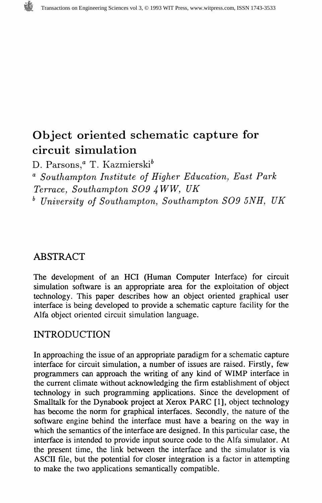# Object oriented schematic capture for circuit simulation

D. Parsons,<sup>a</sup> T. Kazmierski<sup>b</sup>

 $\alpha$  Southampton Institute of Higher Education, East Park Terrace, Southampton SO9 4 WW, UK

\* University of Southampton, Southampton SO9 5NH, UK

### ABSTRACT

The development of an HCI (Human Computer Interface) for circuit simulation software is an appropriate area for the exploitation of object technology. This paper describes how an object oriented graphical user interface is being developed to provide a schematic capture facility for the Alfa object oriented circuit simulation language.

## INTRODUCTION

In approaching the issue of an appropriate paradigm for a schematic capture interface for circuit simulation, a number of issues are raised. Firstly, few programmers can approach the writing of any kind of WIMP interface in the current climate without acknowledging the firm establishment of object technology in such programming applications. Since the development of Smalltalk for the Dynabook project at Xerox PARC [1], object technology has become the norm for graphical interfaces. Secondly, the nature of the software engine behind the interface must have a bearing on the way in which the semantics of the interface are designed. In this particular case, the interface is intended to provide input source code to the Alfa simulator. At the present time, the link between the interface and the simulator is via ASCII file, but the potential for closer integration is a factor in attempting to make the two applications semantically compatible.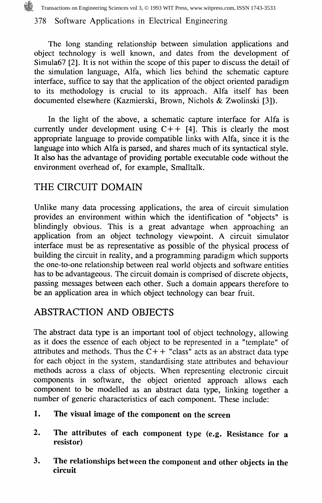Transactions on Engineering Sciences vol 3, © 1993 WIT Press, www.witpress.com, ISSN 1743-3533

#### 378 Software Applications in Electrical Engineering

The long standing relationship between simulation applications and object technology is well known, and dates from the development of Simula67 [2]. It is not within the scope of this paper to discuss the detail of the simulation language, Alfa, which lies behind the schematic capture interface, suffice to say that the application of the object oriented paradigm to its methodology is crucial to its approach. Alfa itself has been documented elsewhere (Kazmierski, Brown, Nichols & Zwolinski [3]).

In the light of the above, a schematic capture interface for Alfa is currently under development using  $C++$  [4]. This is clearly the most appropriate language to provide compatible links with Alfa, since it is the language into which Alfa is parsed, and shares much of its syntactical style. It also has the advantage of providing portable executable code without the environment overhead of, for example, Smalltalk.

### THE CIRCUIT DOMAIN

Unlike many data processing applications, the area of circuit simulation provides an environment within which the identification of "objects" is blindingly obvious. This is a great advantage when approaching an application from an object technology viewpoint. A circuit simulator interface must be as representative as possible of the physical process of building the circuit in reality, and a programming paradigm which supports the one-to-one relationship between real world objects and software entities has to be advantageous. The circuit domain is comprised of discrete objects, passing messages between each other. Such a domain appears therefore to be an application area in which object technology can bear fruit.

## ABSTRACTION AND OBJECTS

The abstract data type is an important tool of object technology, allowing as it does the essence of each object to be represented in a "template" of attributes and methods. Thus the  $C++$  "class" acts as an abstract data type for each object in the system, standardising state attributes and behaviour methods across a class of objects. When representing electronic circuit components in software, the object oriented approach allows each component to be modelled as an abstract data type, linking together a number of generic characteristics of each component. These include:

- 1. The visual image of the component on the screen
- 2. The attributes of each component type (e.g. Resistance for a resistor)
- 3. The relationships between the component and other objects in the circuit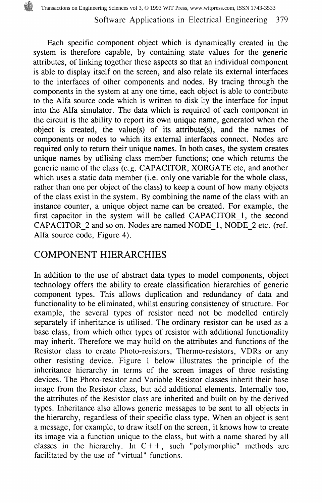Each specific component object which is dynamically created in the system is therefore capable, by containing state values for the generic attributes, of linking together these aspects so that an individual component is able to display itself on the screen, and also relate its external interfaces to the interfaces of other components and nodes. By tracing through the components in the system at any one time, each object is able to contribute to the Alfa source code which is written to disk by the interface for input into the Alfa simulator. The data which is required of each component in the circuit is the ability to report its own unique name, generated when the object is created, the value(s) of its attribute(s), and the names of components or nodes to which its external interfaces connect. Nodes are required only to return their unique names. In both cases, the system creates unique names by utilising class member functions; one which returns the generic name of the class (e.g. CAPACITOR, XORGATE etc, and another which uses a static data member (i.e. only one variable for the whole class, rather than one per object of the class) to keep a count of how many objects of the class exist in the system. By combining the name of the class with an instance counter, a unique object name can be created. For example, the first capacitor in the system will be called CAPACITOR 1, the second CAPACITOR 2 and so on. Nodes are named NODE\_1, NODE 2 etc. (ref. Alfa source code, Figure 4).

#### COMPONENT HIERARCHIES

In addition to the use of abstract data types to model components, object technology offers the ability to create classification hierarchies of generic component types. This allows duplication and redundancy of data and functionality to be eliminated, whilst ensuring consistency of structure. For example, the several types of resistor need not be modelled entirely separately if inheritance is utilised. The ordinary resistor can be used as a base class, from which other types of resistor with additional functionality may inherit. Therefore we may build on the attributes and functions of the Resistor class to create Photo-resistors, Thermo-resistors, VDRs or any other resisting device. Figure 1 below illustrates the principle of the inheritance hierarchy in terms of the screen images of three resisting devices. The Photo-resistor and Variable Resistor classes inherit their base image from the Resistor class, but add additional elements. Internally too, the attributes of the Resistor class are inherited and built on by the derived types. Inheritance also allows generic messages to be sent to all objects in the hierarchy, regardless of their specific class type. When an object is sent a message, for example, to draw itself on the screen, it knows how to create its image via a function unique to the class, but with a name shared by all classes in the hierarchy. In  $C++$ , such "polymorphic" methods are facilitated by the use of "virtual" functions.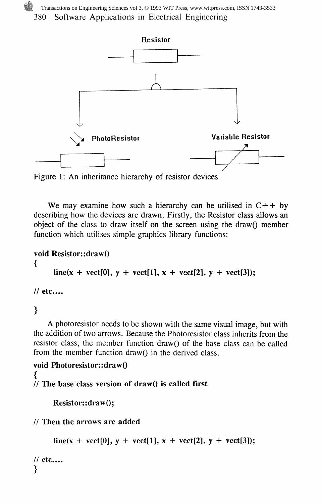380 Software Applications in Electrical Engineering Transactions on Engineering Sciences vol 3, © 1993 WIT Press, www.witpress.com, ISSN 1743-3533



Figure 1: An inheritance hierarchy of resistor devices

We may examine how such a hierarchy can be utilised in  $C++$  by describing how the devices are drawn. Firstly, the Resistor class allows an object of the class to draw itself on the screen using the drawQ member function which utilises simple graphics library functions:

```
void Resistor::drawQ
{
     line(x + vect[0], y + vect[1], x + vect[2], y + vect[3]);// etc....
```
### $\overline{\mathbf{r}}$

A photoresistor needs to be shown with the same visual image, but with the addition of two arrows. Because the Photoresistor class inherits from the resistor class, the member function draw() of the base class can be called from the member function draw() in the derived class.

```
void Photoresistor::drawQ
ſ
\frac{1}{10} The base class version of draw\frac{1}{10} is called first
```

```
Resistor::draw();
```
// Then the arrows are added

```
line(x + vect[0], y + vect[1], x + vect[2], y + vect[3]);
```

```
// etc....
}
```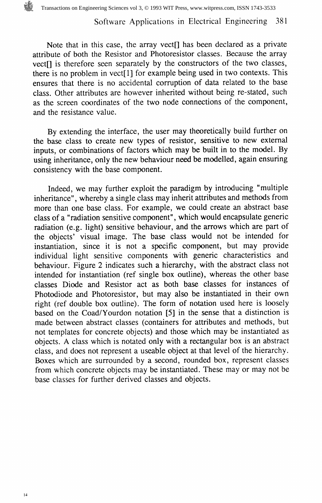#### Software Applications in Electrical Engineering 381

Note that in this case, the array vect<sup>[]</sup> has been declared as a private attribute of both the Resistor and Photoresistor classes. Because the array vectf] is therefore seen separately by the constructors of the two classes, there is no problem in vect[l] for example being used in two contexts. This ensures that there is no accidental corruption of data related to the base class. Other attributes are however inherited without being re-stated, such as the screen coordinates of the two node connections of the component, and the resistance value.

By extending the interface, the user may theoretically build further on the base class to create new types of resistor, sensitive to new external inputs, or combinations of factors which may be built in to the model. By using inheritance, only the new behaviour need be modelled, again ensuring consistency with the base component.

Indeed, we may further exploit the paradigm by introducing "multiple inheritance", whereby a single class may inherit attributes and methods from more than one base class. For example, we could create an abstract base class of a "radiation sensitive component", which would encapsulate generic radiation (e.g. light) sensitive behaviour, and the arrows which are part of the objects' visual image. The base class would not be intended for instantiation, since it is not a specific component, but may provide individual light sensitive components with generic characteristics and behaviour. Figure 2 indicates such a hierarchy, with the abstract class not intended for instantiation (ref single box outline), whereas the other base classes Diode and Resistor act as both base classes for instances of Photodiode and Photoresistor, but may also be instantiated in their own right (ref double box outline). The form of notation used here is loosely based on the Coad/Yourdon notation [5] in the sense that a distinction is made between abstract classes (containers for attributes and methods, but not templates for concrete objects) and those which may be instantiated as objects. A class which is notated only with a rectangular box is an abstract class, and does not represent a useable object at that level of the hierarchy. Boxes which are surrounded by a second, rounded box, represent classes from which concrete objects may be instantiated. These may or may not be base classes for further derived classes and objects.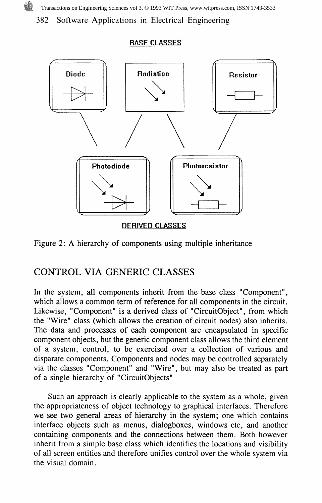Transactions on Engineering Sciences vol 3, © 1993 WIT Press, www.witpress.com, ISSN 1743-3533

382 Software Applications in Electrical Engineering

#### BASE CLASSES



Figure 2: A hierarchy of components using multiple inheritance

#### CONTROL VIA GENERIC CLASSES

In the system, all components inherit from the base class "Component", which allows a common term of reference for all components in the circuit. Likewise, "Component" is a derived class of "CircuitObject", from which the "Wire" class (which allows the creation of circuit nodes) also inherits. The data and processes of each component are encapsulated in specific component objects, but the generic component class allows the third element of a system, control, to be exercised over a collection of various and disparate components. Components and nodes may be controlled separately via the classes "Component" and "Wire", but may also be treated as part of a single hierarchy of "CircuitObjects"

Such an approach is clearly applicable to the system as a whole, given the appropriateness of object technology to graphical interfaces. Therefore we see two general areas of hierarchy in the system; one which contains interface objects such as menus, dialogboxes, windows etc, and another containing components and the connections between them. Both however inherit from a simple base class which identifies the locations and visibility of all screen entities and therefore unifies control over the whole system via the visual domain.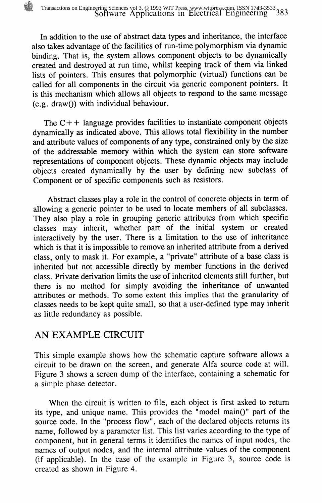In addition to the use of abstract data types and inheritance, the interface also takes advantage of the facilities of run-time polymorphism via dynamic binding. That is, the system allows component objects to be dynamically created and destroyed at run time, whilst keeping track of them via linked lists of pointers. This ensures that polymorphic (virtual) functions can be called for all components in the circuit via generic component pointers. It is this mechanism which allows all objects to respond to the same message  $(e.g. draw()$  with individual behaviour.

The  $C++$  language provides facilities to instantiate component objects dynamically as indicated above. This allows total flexibility in the number and attribute values of components of any type, constrained only by the size of the addressable memory within which the system can store software representations of component objects. These dynamic objects may include objects created dynamically by the user by defining new subclass of Component or of specific components such as resistors.

Abstract classes play a role in the control of concrete objects in term of allowing a generic pointer to be used to locate members of all subclasses. They also play a role in grouping generic attributes from which specific classes may inherit, whether part of the initial system or created interactively by the user. There is a limitation to the use of inheritance which is that it is impossible to remove an inherited attribute from a derived class, only to mask it. For example, a "private" attribute of a base class is inherited but not accessible directly by member functions in the derived class. Private derivation limits the use of inherited elements still further, but there is no method for simply avoiding the inheritance of unwanted attributes or methods. To some extent this implies that the granularity of classes needs to be kept quite small, so that a user-defined type may inherit as little redundancy as possible.

#### AN EXAMPLE CIRCUIT

This simple example shows how the schematic capture software allows a circuit to be drawn on the screen, and generate Alfa source code at will. Figure 3 shows a screen dump of the interface, containing a schematic for a simple phase detector.

When the circuit is written to file, each object is first asked to return its type, and unique name. This provides the "model main()" part of the source code. In the "process flow", each of the declared objects returns its name, followed by a parameter list. This list varies according to the type of component, but in general terms it identifies the names of input nodes, the names of output nodes, and the internal attribute values of the component (if applicable). In the case of the example in Figure 3, source code is created as shown in Figure 4.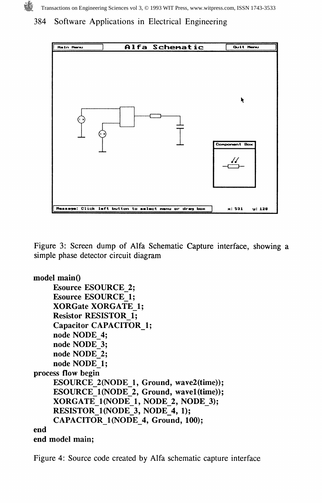384 Software Applications in Electrical Engineering



Figure 3: Screen dump of Alfa Schematic Capture interface, showing a simple phase detector circuit diagram

```
model main()
    Esource ESOURCE 2;
    Esource ESOURCE 1;
    XORGate XORGATE 1;
    Resistor RESISTOR 1;
    Capacitor CAPACITOR 1;
    node NODE_4;
    node NODE 3;
    node NODE 2;
    node NODE 1;
process flow begin
    ESOURCE 2(NODE 1, Ground, wave2(time));
    ESOURCE 1(NODE 2, Ground, wave1(time));
    XORGATE 1 (NODE 1, NODE 2, NODE 3);
    RESISTOR 1(NODE 3, NODE 4, 1);
    CAPACITOR 1(NODE 4, Ground, 100);
end
end model main;
```
Figure 4: Source code created by Alfa schematic capture interface